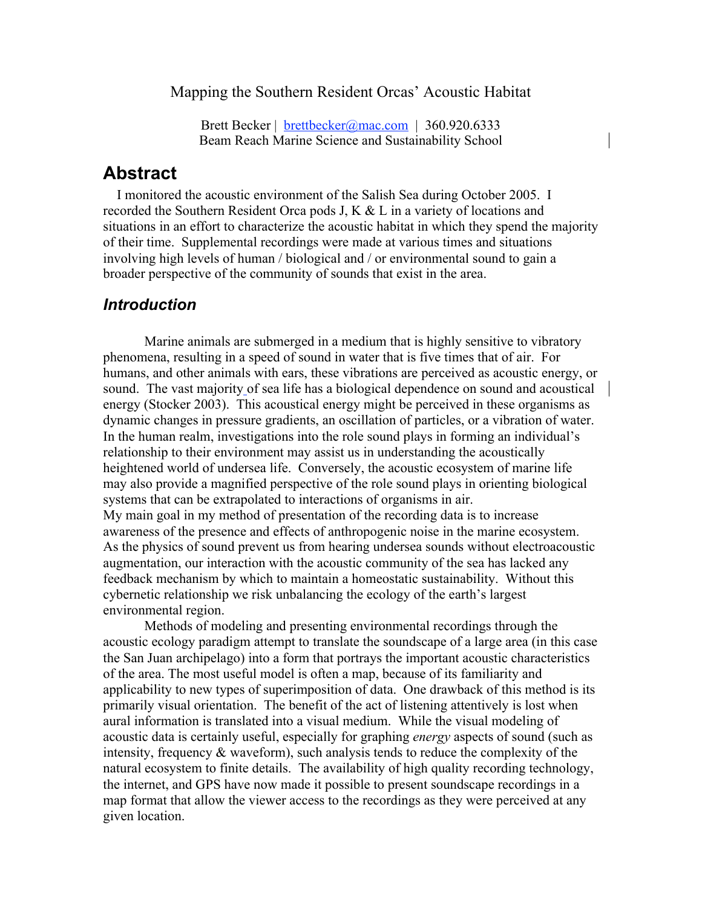Mapping the Southern Resident Orcas' Acoustic Habitat

Brett Becker | brettbecker@mac.com | 360.920.6333 Beam Reach Marine Science and Sustainability School

#### **Abstract**

 I monitored the acoustic environment of the Salish Sea during October 2005. I recorded the Southern Resident Orca pods J, K  $& L$  in a variety of locations and situations in an effort to characterize the acoustic habitat in which they spend the majority of their time. Supplemental recordings were made at various times and situations involving high levels of human / biological and / or environmental sound to gain a broader perspective of the community of sounds that exist in the area.

#### *Introduction*

Marine animals are submerged in a medium that is highly sensitive to vibratory phenomena, resulting in a speed of sound in water that is five times that of air. For humans, and other animals with ears, these vibrations are perceived as acoustic energy, or sound. The vast majority of sea life has a biological dependence on sound and acoustical energy (Stocker 2003). This acoustical energy might be perceived in these organisms as dynamic changes in pressure gradients, an oscillation of particles, or a vibration of water. In the human realm, investigations into the role sound plays in forming an individual's relationship to their environment may assist us in understanding the acoustically heightened world of undersea life. Conversely, the acoustic ecosystem of marine life may also provide a magnified perspective of the role sound plays in orienting biological systems that can be extrapolated to interactions of organisms in air. My main goal in my method of presentation of the recording data is to increase awareness of the presence and effects of anthropogenic noise in the marine ecosystem. As the physics of sound prevent us from hearing undersea sounds without electroacoustic augmentation, our interaction with the acoustic community of the sea has lacked any feedback mechanism by which to maintain a homeostatic sustainability. Without this cybernetic relationship we risk unbalancing the ecology of the earth's largest environmental region.

Methods of modeling and presenting environmental recordings through the acoustic ecology paradigm attempt to translate the soundscape of a large area (in this case the San Juan archipelago) into a form that portrays the important acoustic characteristics of the area. The most useful model is often a map, because of its familiarity and applicability to new types of superimposition of data. One drawback of this method is its primarily visual orientation. The benefit of the act of listening attentively is lost when aural information is translated into a visual medium. While the visual modeling of acoustic data is certainly useful, especially for graphing *energy* aspects of sound (such as intensity, frequency  $\&$  waveform), such analysis tends to reduce the complexity of the natural ecosystem to finite details. The availability of high quality recording technology, the internet, and GPS have now made it possible to present soundscape recordings in a map format that allow the viewer access to the recordings as they were perceived at any given location.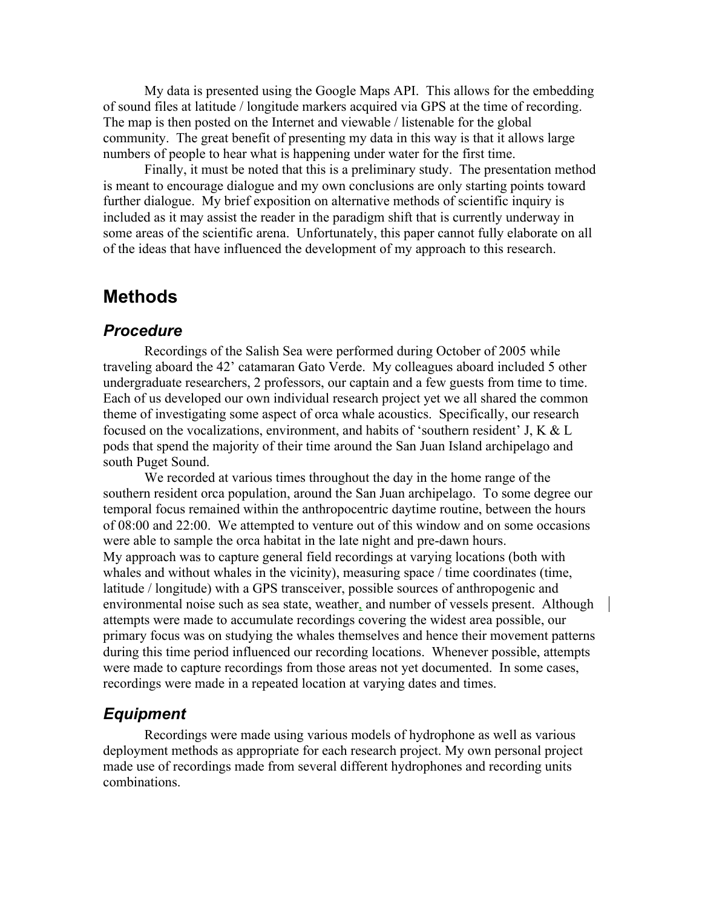My data is presented using the Google Maps API. This allows for the embedding of sound files at latitude / longitude markers acquired via GPS at the time of recording. The map is then posted on the Internet and viewable / listenable for the global community. The great benefit of presenting my data in this way is that it allows large numbers of people to hear what is happening under water for the first time.

Finally, it must be noted that this is a preliminary study. The presentation method is meant to encourage dialogue and my own conclusions are only starting points toward further dialogue. My brief exposition on alternative methods of scientific inquiry is included as it may assist the reader in the paradigm shift that is currently underway in some areas of the scientific arena. Unfortunately, this paper cannot fully elaborate on all of the ideas that have influenced the development of my approach to this research.

# **Methods**

#### *Procedure*

Recordings of the Salish Sea were performed during October of 2005 while traveling aboard the 42' catamaran Gato Verde. My colleagues aboard included 5 other undergraduate researchers, 2 professors, our captain and a few guests from time to time. Each of us developed our own individual research project yet we all shared the common theme of investigating some aspect of orca whale acoustics. Specifically, our research focused on the vocalizations, environment, and habits of 'southern resident' J, K & L pods that spend the majority of their time around the San Juan Island archipelago and south Puget Sound.

We recorded at various times throughout the day in the home range of the southern resident orca population, around the San Juan archipelago. To some degree our temporal focus remained within the anthropocentric daytime routine, between the hours of 08:00 and 22:00. We attempted to venture out of this window and on some occasions were able to sample the orca habitat in the late night and pre-dawn hours. My approach was to capture general field recordings at varying locations (both with whales and without whales in the vicinity), measuring space / time coordinates (time, latitude / longitude) with a GPS transceiver, possible sources of anthropogenic and environmental noise such as sea state, weather, and number of vessels present. Although attempts were made to accumulate recordings covering the widest area possible, our primary focus was on studying the whales themselves and hence their movement patterns during this time period influenced our recording locations. Whenever possible, attempts were made to capture recordings from those areas not yet documented. In some cases, recordings were made in a repeated location at varying dates and times.

#### *Equipment*

Recordings were made using various models of hydrophone as well as various deployment methods as appropriate for each research project. My own personal project made use of recordings made from several different hydrophones and recording units combinations.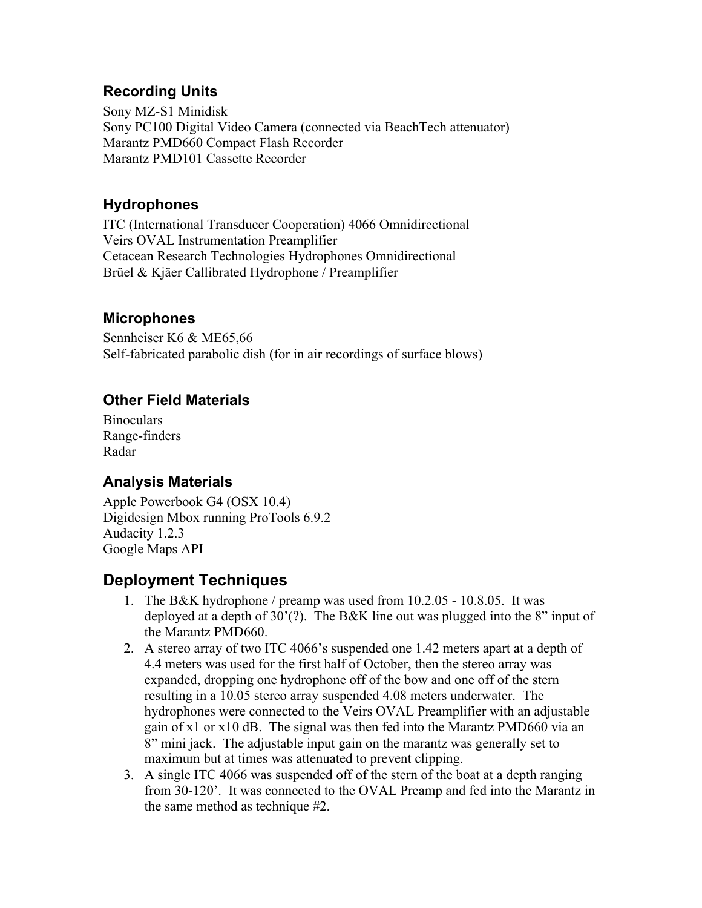## **Recording Units**

Sony MZ-S1 Minidisk Sony PC100 Digital Video Camera (connected via BeachTech attenuator) Marantz PMD660 Compact Flash Recorder Marantz PMD101 Cassette Recorder

#### **Hydrophones**

ITC (International Transducer Cooperation) 4066 Omnidirectional Veirs OVAL Instrumentation Preamplifier Cetacean Research Technologies Hydrophones Omnidirectional Brüel & Kjäer Callibrated Hydrophone / Preamplifier

#### **Microphones**

Sennheiser K6 & ME65,66 Self-fabricated parabolic dish (for in air recordings of surface blows)

## **Other Field Materials**

**Binoculars** Range-finders Radar

# **Analysis Materials**

Apple Powerbook G4 (OSX 10.4) Digidesign Mbox running ProTools 6.9.2 Audacity 1.2.3 Google Maps API

# **Deployment Techniques**

- 1. The B&K hydrophone / preamp was used from 10.2.05 10.8.05. It was deployed at a depth of 30'(?). The B&K line out was plugged into the 8" input of the Marantz PMD660.
- 2. A stereo array of two ITC 4066's suspended one 1.42 meters apart at a depth of 4.4 meters was used for the first half of October, then the stereo array was expanded, dropping one hydrophone off of the bow and one off of the stern resulting in a 10.05 stereo array suspended 4.08 meters underwater. The hydrophones were connected to the Veirs OVAL Preamplifier with an adjustable gain of x1 or x10 dB. The signal was then fed into the Marantz PMD660 via an 8" mini jack. The adjustable input gain on the marantz was generally set to maximum but at times was attenuated to prevent clipping.
- 3. A single ITC 4066 was suspended off of the stern of the boat at a depth ranging from 30-120'. It was connected to the OVAL Preamp and fed into the Marantz in the same method as technique #2.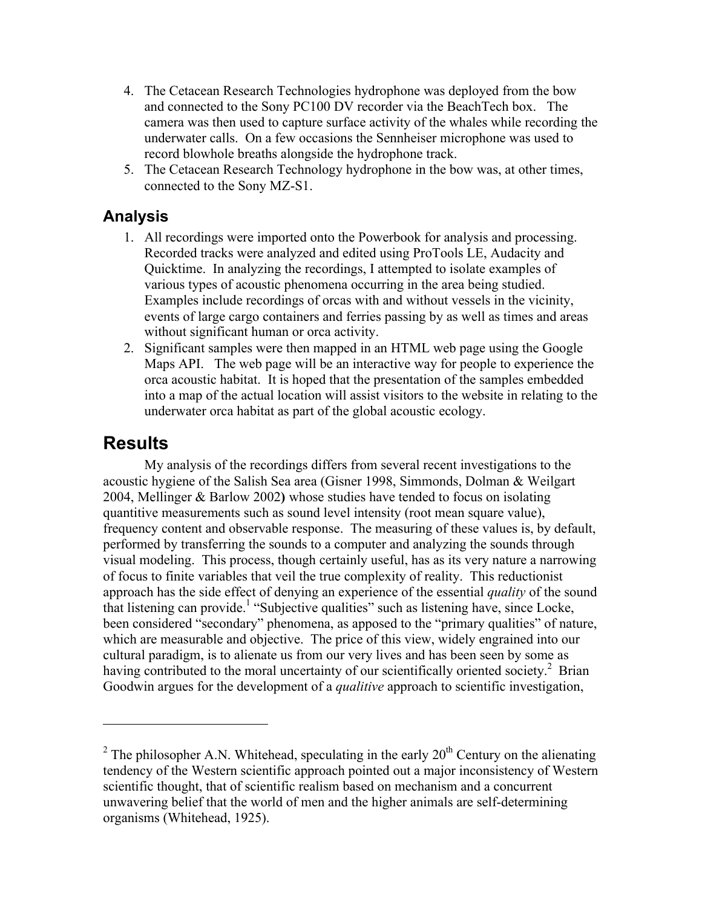- 4. The Cetacean Research Technologies hydrophone was deployed from the bow and connected to the Sony PC100 DV recorder via the BeachTech box. The camera was then used to capture surface activity of the whales while recording the underwater calls. On a few occasions the Sennheiser microphone was used to record blowhole breaths alongside the hydrophone track.
- 5. The Cetacean Research Technology hydrophone in the bow was, at other times, connected to the Sony MZ-S1.

## **Analysis**

- 1. All recordings were imported onto the Powerbook for analysis and processing. Recorded tracks were analyzed and edited using ProTools LE, Audacity and Quicktime. In analyzing the recordings, I attempted to isolate examples of various types of acoustic phenomena occurring in the area being studied. Examples include recordings of orcas with and without vessels in the vicinity, events of large cargo containers and ferries passing by as well as times and areas without significant human or orca activity.
- 2. Significant samples were then mapped in an HTML web page using the Google Maps API. The web page will be an interactive way for people to experience the orca acoustic habitat. It is hoped that the presentation of the samples embedded into a map of the actual location will assist visitors to the website in relating to the underwater orca habitat as part of the global acoustic ecology.

# **Results**

 $\overline{a}$ 

My analysis of the recordings differs from several recent investigations to the acoustic hygiene of the Salish Sea area (Gisner 1998, Simmonds, Dolman & Weilgart 2004, Mellinger & Barlow 2002) whose studies have tended to focus on isolating quantitive measurements such as sound level intensity (root mean square value), frequency content and observable response. The measuring of these values is, by default, performed by transferring the sounds to a computer and analyzing the sounds through visual modeling. This process, though certainly useful, has as its very nature a narrowing of focus to finite variables that veil the true complexity of reality. This reductionist approach has the side effect of denying an experience of the essential *quality* of the sound that listening can provide.<sup>1</sup> "Subjective qualities" such as listening have, since Locke, been considered "secondary" phenomena, as apposed to the "primary qualities" of nature, which are measurable and objective. The price of this view, widely engrained into our cultural paradigm, is to alienate us from our very lives and has been seen by some as having contributed to the moral uncertainty of our scientifically oriented society.<sup>2</sup> Brian Goodwin argues for the development of a *qualitive* approach to scientific investigation,

<sup>&</sup>lt;sup>2</sup> The philosopher A.N. Whitehead, speculating in the early  $20<sup>th</sup>$  Century on the alienating tendency of the Western scientific approach pointed out a major inconsistency of Western scientific thought, that of scientific realism based on mechanism and a concurrent unwavering belief that the world of men and the higher animals are self-determining organisms (Whitehead, 1925).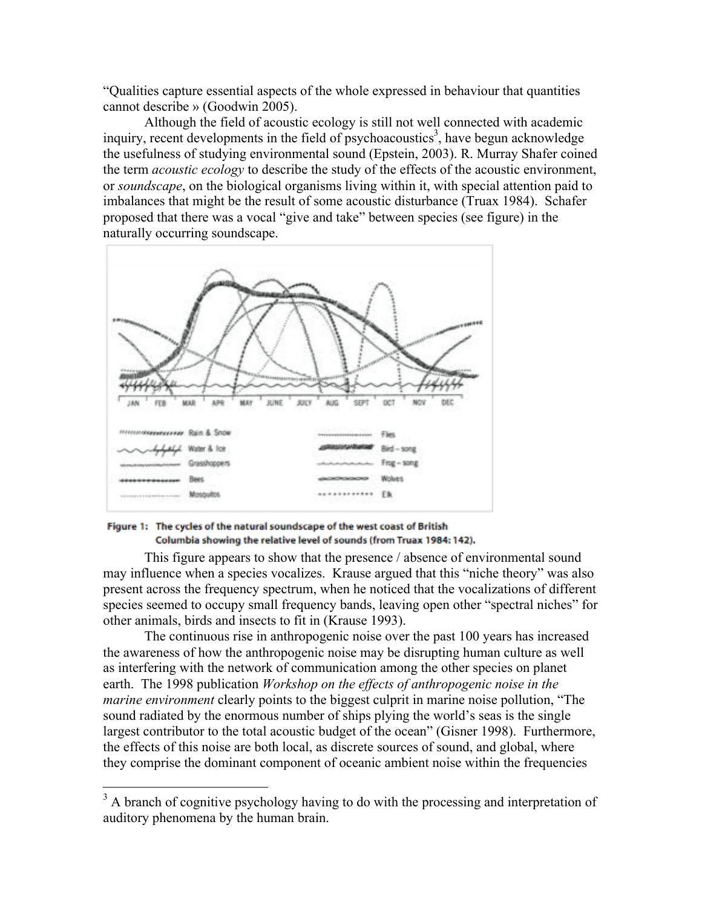"Qualities capture essential aspects of the whole expressed in behaviour that quantities cannot describe » (Goodwin 2005).

Although the field of acoustic ecology is still not well connected with academic inquiry, recent developments in the field of psychoacoustics<sup>3</sup>, have begun acknowledge the usefulness of studying environmental sound (Epstein, 2003). R. Murray Shafer coined the term *acoustic ecology* to describe the study of the effects of the acoustic environment, or *soundscape*, on the biological organisms living within it, with special attention paid to imbalances that might be the result of some acoustic disturbance (Truax 1984). Schafer proposed that there was a vocal "give and take" between species (see figure) in the naturally occurring soundscape.



#### Figure 1: The cycles of the natural soundscape of the west coast of British Columbia showing the relative level of sounds (from Truax 1984: 142).

This figure appears to show that the presence / absence of environmental sound may influence when a species vocalizes. Krause argued that this "niche theory" was also present across the frequency spectrum, when he noticed that the vocalizations of different species seemed to occupy small frequency bands, leaving open other "spectral niches" for other animals, birds and insects to fit in (Krause 1993).

The continuous rise in anthropogenic noise over the past 100 years has increased the awareness of how the anthropogenic noise may be disrupting human culture as well as interfering with the network of communication among the other species on planet earth. The 1998 publication *Workshop on the effects of anthropogenic noise in the marine environment* clearly points to the biggest culprit in marine noise pollution, "The sound radiated by the enormous number of ships plying the world's seas is the single largest contributor to the total acoustic budget of the ocean" (Gisner 1998). Furthermore, the effects of this noise are both local, as discrete sources of sound, and global, where they comprise the dominant component of oceanic ambient noise within the frequencies

<sup>&</sup>lt;sup>3</sup> A branch of cognitive psychology having to do with the processing and interpretation of auditory phenomena by the human brain.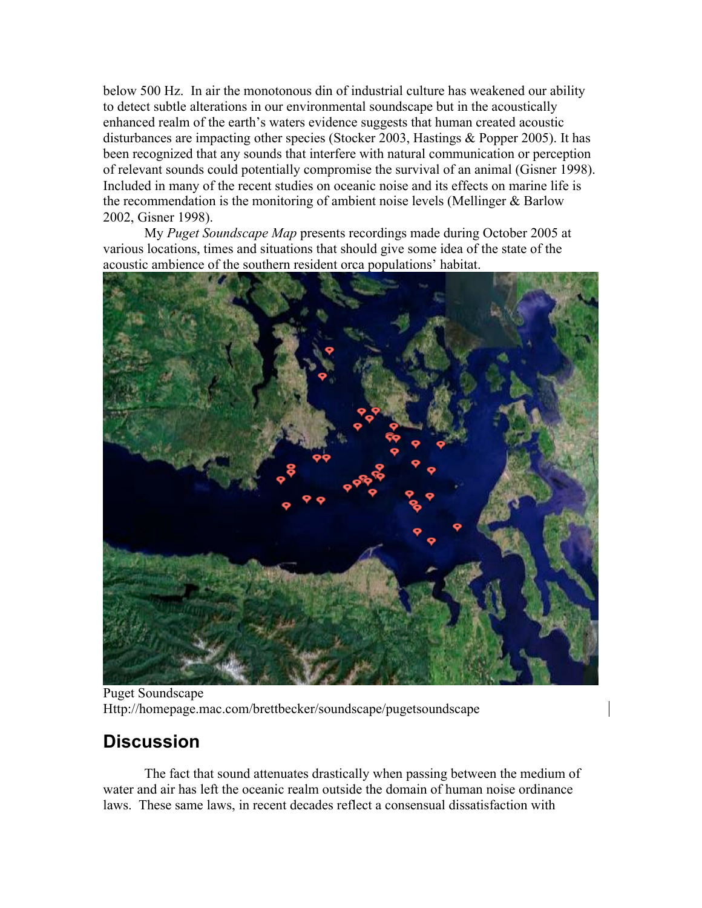below 500 Hz. In air the monotonous din of industrial culture has weakened our ability to detect subtle alterations in our environmental soundscape but in the acoustically enhanced realm of the earth's waters evidence suggests that human created acoustic disturbances are impacting other species (Stocker 2003, Hastings & Popper 2005). It has been recognized that any sounds that interfere with natural communication or perception of relevant sounds could potentially compromise the survival of an animal (Gisner 1998). Included in many of the recent studies on oceanic noise and its effects on marine life is the recommendation is the monitoring of ambient noise levels (Mellinger & Barlow 2002, Gisner 1998).

My *Puget Soundscape Map* presents recordings made during October 2005 at various locations, times and situations that should give some idea of the state of the acoustic ambience of the southern resident orca populations' habitat.



Puget Soundscape Http://homepage.mac.com/brettbecker/soundscape/pugetsoundscape

# **Discussion**

The fact that sound attenuates drastically when passing between the medium of water and air has left the oceanic realm outside the domain of human noise ordinance laws. These same laws, in recent decades reflect a consensual dissatisfaction with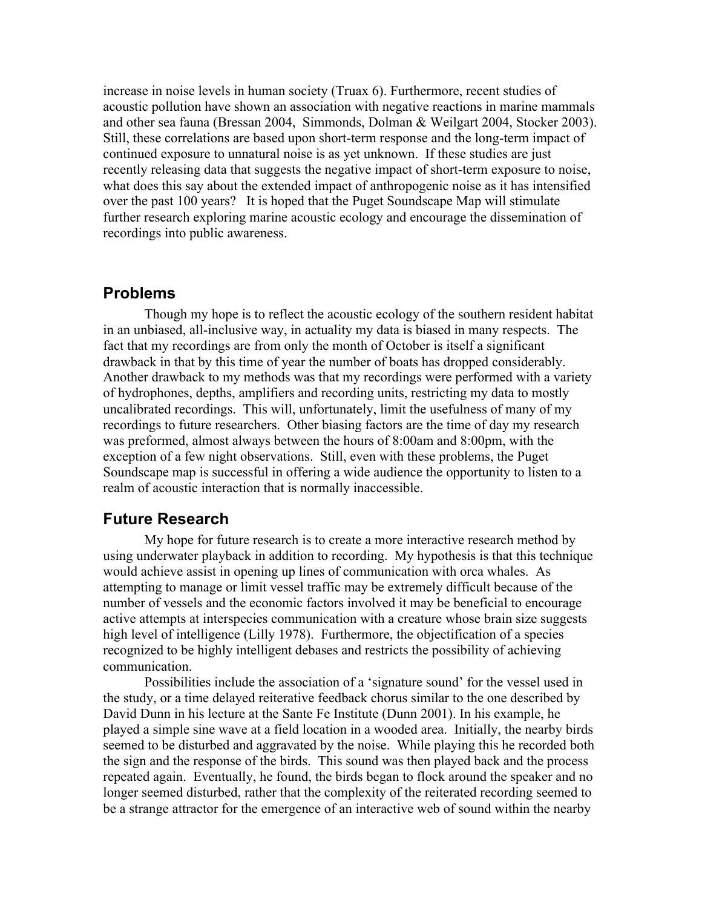increase in noise levels in human society (Truax 6). Furthermore, recent studies of acoustic pollution have shown an association with negative reactions in marine mammals and other sea fauna (Bressan 2004, Simmonds, Dolman & Weilgart 2004, Stocker 2003). Still, these correlations are based upon short-term response and the long-term impact of continued exposure to unnatural noise is as yet unknown. If these studies are just recently releasing data that suggests the negative impact of short-term exposure to noise, what does this say about the extended impact of anthropogenic noise as it has intensified over the past 100 years? It is hoped that the Puget Soundscape Map will stimulate further research exploring marine acoustic ecology and encourage the dissemination of recordings into public awareness.

#### **Problems**

Though my hope is to reflect the acoustic ecology of the southern resident habitat in an unbiased, all-inclusive way, in actuality my data is biased in many respects. The fact that my recordings are from only the month of October is itself a significant drawback in that by this time of year the number of boats has dropped considerably. Another drawback to my methods was that my recordings were performed with a variety of hydrophones, depths, amplifiers and recording units, restricting my data to mostly uncalibrated recordings. This will, unfortunately, limit the usefulness of many of my recordings to future researchers. Other biasing factors are the time of day my research was preformed, almost always between the hours of 8:00am and 8:00pm, with the exception of a few night observations. Still, even with these problems, the Puget Soundscape map is successful in offering a wide audience the opportunity to listen to a realm of acoustic interaction that is normally inaccessible.

#### **Future Research**

My hope for future research is to create a more interactive research method by using underwater playback in addition to recording. My hypothesis is that this technique would achieve assist in opening up lines of communication with orca whales. As attempting to manage or limit vessel traffic may be extremely difficult because of the number of vessels and the economic factors involved it may be beneficial to encourage active attempts at interspecies communication with a creature whose brain size suggests high level of intelligence (Lilly 1978). Furthermore, the objectification of a species recognized to be highly intelligent debases and restricts the possibility of achieving communication.

Possibilities include the association of a 'signature sound' for the vessel used in the study, or a time delayed reiterative feedback chorus similar to the one described by David Dunn in his lecture at the Sante Fe Institute (Dunn 2001). In his example, he played a simple sine wave at a field location in a wooded area. Initially, the nearby birds seemed to be disturbed and aggravated by the noise. While playing this he recorded both the sign and the response of the birds. This sound was then played back and the process repeated again. Eventually, he found, the birds began to flock around the speaker and no longer seemed disturbed, rather that the complexity of the reiterated recording seemed to be a strange attractor for the emergence of an interactive web of sound within the nearby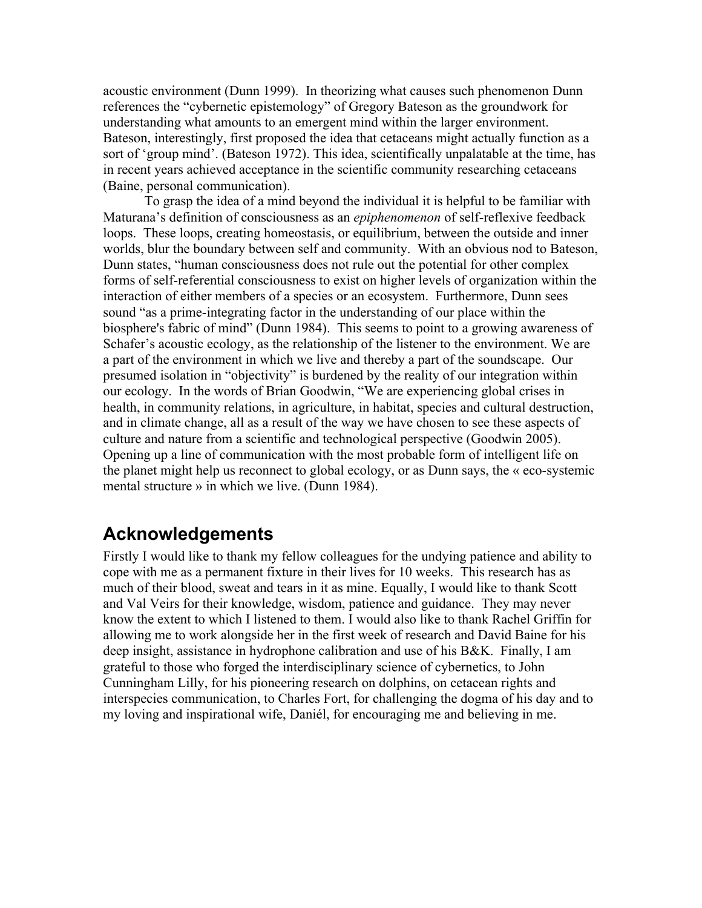acoustic environment (Dunn 1999). In theorizing what causes such phenomenon Dunn references the "cybernetic epistemology" of Gregory Bateson as the groundwork for understanding what amounts to an emergent mind within the larger environment. Bateson, interestingly, first proposed the idea that cetaceans might actually function as a sort of 'group mind'. (Bateson 1972). This idea, scientifically unpalatable at the time, has in recent years achieved acceptance in the scientific community researching cetaceans (Baine, personal communication).

To grasp the idea of a mind beyond the individual it is helpful to be familiar with Maturana's definition of consciousness as an *epiphenomenon* of self-reflexive feedback loops. These loops, creating homeostasis, or equilibrium, between the outside and inner worlds, blur the boundary between self and community. With an obvious nod to Bateson, Dunn states, "human consciousness does not rule out the potential for other complex forms of self-referential consciousness to exist on higher levels of organization within the interaction of either members of a species or an ecosystem. Furthermore, Dunn sees sound "as a prime-integrating factor in the understanding of our place within the biosphere's fabric of mind" (Dunn 1984). This seems to point to a growing awareness of Schafer's acoustic ecology, as the relationship of the listener to the environment. We are a part of the environment in which we live and thereby a part of the soundscape. Our presumed isolation in "objectivity" is burdened by the reality of our integration within our ecology. In the words of Brian Goodwin, "We are experiencing global crises in health, in community relations, in agriculture, in habitat, species and cultural destruction, and in climate change, all as a result of the way we have chosen to see these aspects of culture and nature from a scientific and technological perspective (Goodwin 2005). Opening up a line of communication with the most probable form of intelligent life on the planet might help us reconnect to global ecology, or as Dunn says, the « eco-systemic mental structure » in which we live. (Dunn 1984).

# **Acknowledgements**

Firstly I would like to thank my fellow colleagues for the undying patience and ability to cope with me as a permanent fixture in their lives for 10 weeks. This research has as much of their blood, sweat and tears in it as mine. Equally, I would like to thank Scott and Val Veirs for their knowledge, wisdom, patience and guidance. They may never know the extent to which I listened to them. I would also like to thank Rachel Griffin for allowing me to work alongside her in the first week of research and David Baine for his deep insight, assistance in hydrophone calibration and use of his B&K. Finally, I am grateful to those who forged the interdisciplinary science of cybernetics, to John Cunningham Lilly, for his pioneering research on dolphins, on cetacean rights and interspecies communication, to Charles Fort, for challenging the dogma of his day and to my loving and inspirational wife, Daniél, for encouraging me and believing in me.